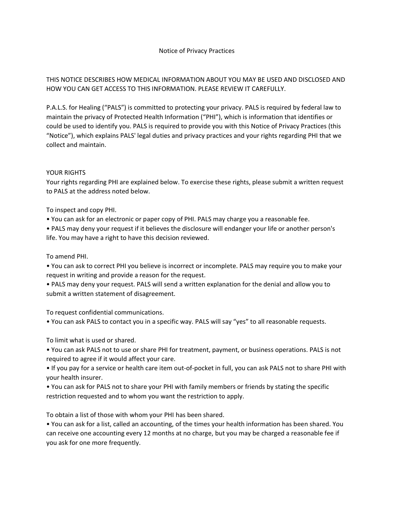# THIS NOTICE DESCRIBES HOW MEDICAL INFORMATION ABOUT YOU MAY BE USED AND DISCLOSED AND HOW YOU CAN GET ACCESS TO THIS INFORMATION. PLEASE REVIEW IT CAREFULLY.

P.A.L.S. for Healing ("PALS") is committed to protecting your privacy. PALS is required by federal law to maintain the privacy of Protected Health Information ("PHI"), which is information that identifies or could be used to identify you. PALS is required to provide you with this Notice of Privacy Practices (this "Notice"), which explains PALS' legal duties and privacy practices and your rights regarding PHI that we collect and maintain.

### YOUR RIGHTS

Your rights regarding PHI are explained below. To exercise these rights, please submit a written request to PALS at the address noted below.

To inspect and copy PHI.

• You can ask for an electronic or paper copy of PHI. PALS may charge you a reasonable fee.

• PALS may deny your request if it believes the disclosure will endanger your life or another person's life. You may have a right to have this decision reviewed.

To amend PHI.

• You can ask to correct PHI you believe is incorrect or incomplete. PALS may require you to make your request in writing and provide a reason for the request.

• PALS may deny your request. PALS will send a written explanation for the denial and allow you to submit a written statement of disagreement.

To request confidential communications.

• You can ask PALS to contact you in a specific way. PALS will say "yes" to all reasonable requests.

To limit what is used or shared.

• You can ask PALS not to use or share PHI for treatment, payment, or business operations. PALS is not required to agree if it would affect your care.

• If you pay for a service or health care item out-of-pocket in full, you can ask PALS not to share PHI with your health insurer.

• You can ask for PALS not to share your PHI with family members or friends by stating the specific restriction requested and to whom you want the restriction to apply.

To obtain a list of those with whom your PHI has been shared.

• You can ask for a list, called an accounting, of the times your health information has been shared. You can receive one accounting every 12 months at no charge, but you may be charged a reasonable fee if you ask for one more frequently.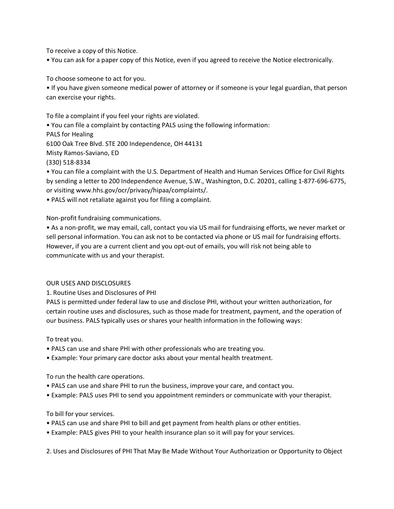To receive a copy of this Notice.

• You can ask for a paper copy of this Notice, even if you agreed to receive the Notice electronically.

To choose someone to act for you.

• If you have given someone medical power of attorney or if someone is your legal guardian, that person can exercise your rights.

To file a complaint if you feel your rights are violated.

• You can file a complaint by contacting PALS using the following information:

PALS for Healing

6100 Oak Tree Blvd. STE 200 Independence, OH 44131

Misty Ramos-Saviano, ED

(330) 518-8334

• You can file a complaint with the U.S. Department of Health and Human Services Office for Civil Rights by sending a letter to 200 Independence Avenue, S.W., Washington, D.C. 20201, calling 1-877-696-6775, or visiting www.hhs.gov/ocr/privacy/hipaa/complaints/.

• PALS will not retaliate against you for filing a complaint.

Non-profit fundraising communications.

• As a non-profit, we may email, call, contact you via US mail for fundraising efforts, we never market or sell personal information. You can ask not to be contacted via phone or US mail for fundraising efforts. However, if you are a current client and you opt-out of emails, you will risk not being able to communicate with us and your therapist.

#### OUR USES AND DISCLOSURES

1. Routine Uses and Disclosures of PHI

PALS is permitted under federal law to use and disclose PHI, without your written authorization, for certain routine uses and disclosures, such as those made for treatment, payment, and the operation of our business. PALS typically uses or shares your health information in the following ways:

#### To treat you.

- PALS can use and share PHI with other professionals who are treating you.
- Example: Your primary care doctor asks about your mental health treatment.

To run the health care operations.

- PALS can use and share PHI to run the business, improve your care, and contact you.
- Example: PALS uses PHI to send you appointment reminders or communicate with your therapist.

## To bill for your services.

- PALS can use and share PHI to bill and get payment from health plans or other entities.
- Example: PALS gives PHI to your health insurance plan so it will pay for your services.

2. Uses and Disclosures of PHI That May Be Made Without Your Authorization or Opportunity to Object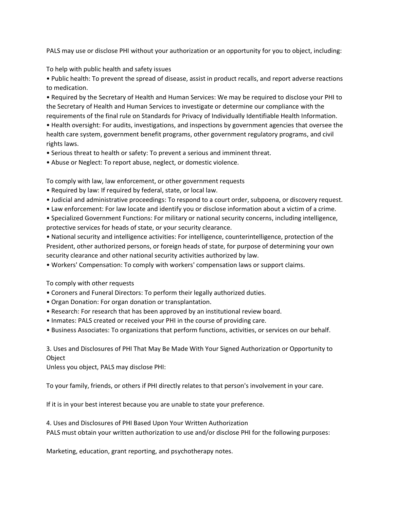PALS may use or disclose PHI without your authorization or an opportunity for you to object, including:

To help with public health and safety issues

• Public health: To prevent the spread of disease, assist in product recalls, and report adverse reactions to medication.

• Required by the Secretary of Health and Human Services: We may be required to disclose your PHI to the Secretary of Health and Human Services to investigate or determine our compliance with the requirements of the final rule on Standards for Privacy of Individually Identifiable Health Information.

• Health oversight: For audits, investigations, and inspections by government agencies that oversee the health care system, government benefit programs, other government regulatory programs, and civil rights laws.

• Serious threat to health or safety: To prevent a serious and imminent threat.

• Abuse or Neglect: To report abuse, neglect, or domestic violence.

To comply with law, law enforcement, or other government requests

- Required by law: If required by federal, state, or local law.
- Judicial and administrative proceedings: To respond to a court order, subpoena, or discovery request.
- Law enforcement: For law locate and identify you or disclose information about a victim of a crime.

• Specialized Government Functions: For military or national security concerns, including intelligence, protective services for heads of state, or your security clearance.

• National security and intelligence activities: For intelligence, counterintelligence, protection of the President, other authorized persons, or foreign heads of state, for purpose of determining your own security clearance and other national security activities authorized by law.

• Workers' Compensation: To comply with workers' compensation laws or support claims.

To comply with other requests

- Coroners and Funeral Directors: To perform their legally authorized duties.
- Organ Donation: For organ donation or transplantation.
- Research: For research that has been approved by an institutional review board.
- Inmates: PALS created or received your PHI in the course of providing care.
- Business Associates: To organizations that perform functions, activities, or services on our behalf.

3. Uses and Disclosures of PHI That May Be Made With Your Signed Authorization or Opportunity to Object

Unless you object, PALS may disclose PHI:

To your family, friends, or others if PHI directly relates to that person's involvement in your care.

If it is in your best interest because you are unable to state your preference.

4. Uses and Disclosures of PHI Based Upon Your Written Authorization PALS must obtain your written authorization to use and/or disclose PHI for the following purposes:

Marketing, education, grant reporting, and psychotherapy notes.